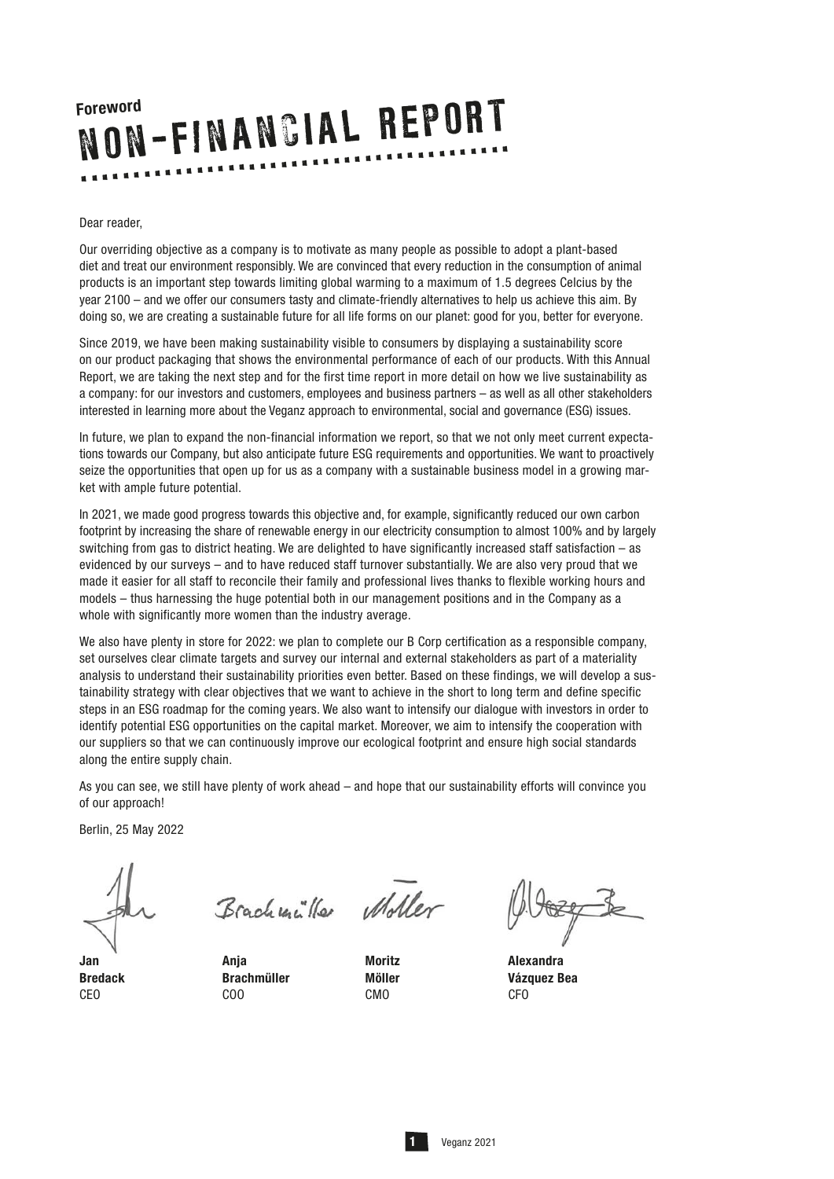#### Dear reader,

Our overriding objective as a company is to motivate as many people as possible to adopt a plant-based diet and treat our environment responsibly. We are convinced that every reduction in the consumption of animal products is an important step towards limiting global warming to a maximum of 1.5 degrees Celcius by the year 2100 – and we offer our consumers tasty and climate-friendly alternatives to help us achieve this aim. By doing so, we are creating a sustainable future for all life forms on our planet: good for you, better for everyone.

Since 2019, we have been making sustainability visible to consumers by displaying a sustainability score on our product packaging that shows the environmental performance of each of our products. With this Annual Report, we are taking the next step and for the first time report in more detail on how we live sustainability as a company: for our investors and customers, employees and business partners – as well as all other stakeholders interested in learning more about the Veganz approach to environmental, social and governance (ESG) issues.

In future, we plan to expand the non-financial information we report, so that we not only meet current expectations towards our Company, but also anticipate future ESG requirements and opportunities. We want to proactively seize the opportunities that open up for us as a company with a sustainable business model in a growing market with ample future potential.

In 2021, we made good progress towards this objective and, for example, significantly reduced our own carbon footprint by increasing the share of renewable energy in our electricity consumption to almost 100% and by largely switching from gas to district heating. We are delighted to have significantly increased staff satisfaction – as evidenced by our surveys – and to have reduced staff turnover substantially. We are also very proud that we made it easier for all staff to reconcile their family and professional lives thanks to flexible working hours and models – thus harnessing the huge potential both in our management positions and in the Company as a whole with significantly more women than the industry average.

We also have plenty in store for 2022: we plan to complete our B Corp certification as a responsible company, set ourselves clear climate targets and survey our internal and external stakeholders as part of a materiality analysis to understand their sustainability priorities even better. Based on these findings, we will develop a sustainability strategy with clear objectives that we want to achieve in the short to long term and define specific steps in an ESG roadmap for the coming years. We also want to intensify our dialogue with investors in order to identify potential ESG opportunities on the capital market. Moreover, we aim to intensify the cooperation with our suppliers so that we can continuously improve our ecological footprint and ensure high social standards along the entire supply chain.

As you can see, we still have plenty of work ahead – and hope that our sustainability efforts will convince you of our approach!

Berlin, 25 May 2022

CEO COO COO CMO COO COO

Brachunille Moller

Jan Anja Moritz Alexandra

Bredack Brachmüller Möller Vázquez Bea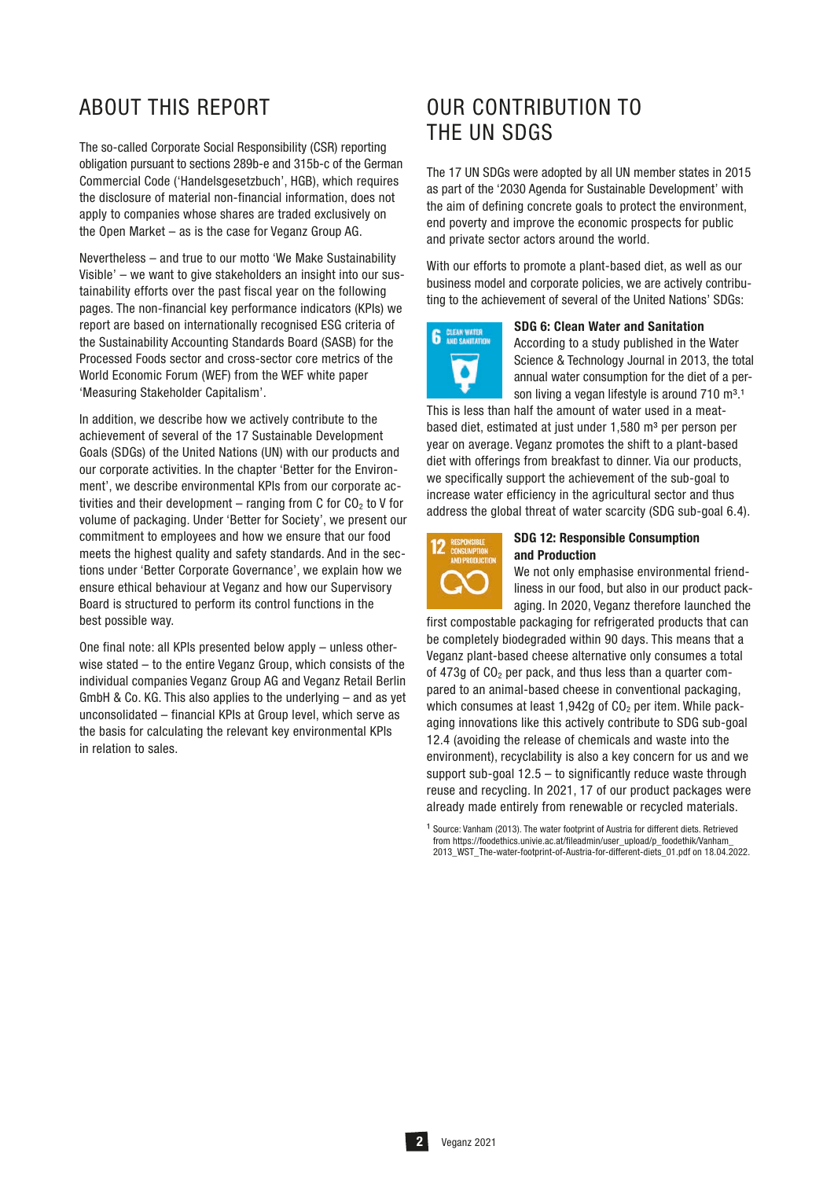# ABOUT THIS REPORT

The so-called Corporate Social Responsibility (CSR) reporting obligation pursuant to sections 289b-e and 315b-c of the German Commercial Code ('Handelsgesetzbuch', HGB), which requires the disclosure of material non-financial information, does not apply to companies whose shares are traded exclusively on the Open Market – as is the case for Veganz Group AG.

Nevertheless – and true to our motto 'We Make Sustainability Visible' – we want to give stakeholders an insight into our sustainability efforts over the past fiscal year on the following pages. The non-financial key performance indicators (KPIs) we report are based on internationally recognised ESG criteria of the Sustainability Accounting Standards Board (SASB) for the Processed Foods sector and cross-sector core metrics of the World Economic Forum (WEF) from the WEF white paper 'Measuring Stakeholder Capitalism'.

In addition, we describe how we actively contribute to the achievement of several of the 17 Sustainable Development Goals (SDGs) of the United Nations (UN) with our products and our corporate activities. In the chapter 'Better for the Environment', we describe environmental KPIs from our corporate activities and their development – ranging from C for  $CO<sub>2</sub>$  to V for volume of packaging. Under 'Better for Society', we present our commitment to employees and how we ensure that our food meets the highest quality and safety standards. And in the sections under 'Better Corporate Governance', we explain how we ensure ethical behaviour at Veganz and how our Supervisory Board is structured to perform its control functions in the best possible way.

One final note: all KPIs presented below apply – unless otherwise stated – to the entire Veganz Group, which consists of the individual companies Veganz Group AG and Veganz Retail Berlin GmbH & Co. KG. This also applies to the underlying – and as yet unconsolidated – financial KPIs at Group level, which serve as the basis for calculating the relevant key environmental KPIs in relation to sales.

# OUR CONTRIBUTION TO THE UN SDGS

The 17 UN SDGs were adopted by all UN member states in 2015 as part of the '2030 Agenda for Sustainable Development' with the aim of defining concrete goals to protect the environment, end poverty and improve the economic prospects for public and private sector actors around the world.

With our efforts to promote a plant-based diet, as well as our business model and corporate policies, we are actively contributing to the achievement of several of the United Nations' SDGs:



#### SDG 6: Clean Water and Sanitation

According to a study published in the Water Science & Technology Journal in 2013, the total annual water consumption for the diet of a person living a vegan lifestyle is around  $710 \text{ m}^3$ .<sup>1</sup>

This is less than half the amount of water used in a meatbased diet, estimated at just under 1,580 m<sup>3</sup> per person per year on average. Veganz promotes the shift to a plant-based diet with offerings from breakfast to dinner. Via our products, we specifically support the achievement of the sub-goal to increase water efficiency in the agricultural sector and thus address the global threat of water scarcity (SDG sub-goal 6.4).



#### SDG 12: Responsible Consumption and Production

We not only emphasise environmental friendliness in our food, but also in our product packaging. In 2020, Veganz therefore launched the

first compostable packaging for refrigerated products that can be completely biodegraded within 90 days. This means that a Veganz plant-based cheese alternative only consumes a total of 473g of  $CO<sub>2</sub>$  per pack, and thus less than a quarter compared to an animal-based cheese in conventional packaging, which consumes at least  $1,942g$  of  $CO<sub>2</sub>$  per item. While packaging innovations like this actively contribute to SDG sub-goal 12.4 (avoiding the release of chemicals and waste into the environment), recyclability is also a key concern for us and we support sub-goal 12.5 – to significantly reduce waste through reuse and recycling. In 2021, 17 of our product packages were already made entirely from renewable or recycled materials.

 $1$  Source: Vanham (2013). The water footprint of Austria for different diets. Retrieved from https://foodethics.univie.ac.at/fileadmin/user\_upload/p\_foodethik/Vanham 2013\_WST\_The-water-footprint-of-Austria-for-different-diets\_01.pdf on 18.04.2022.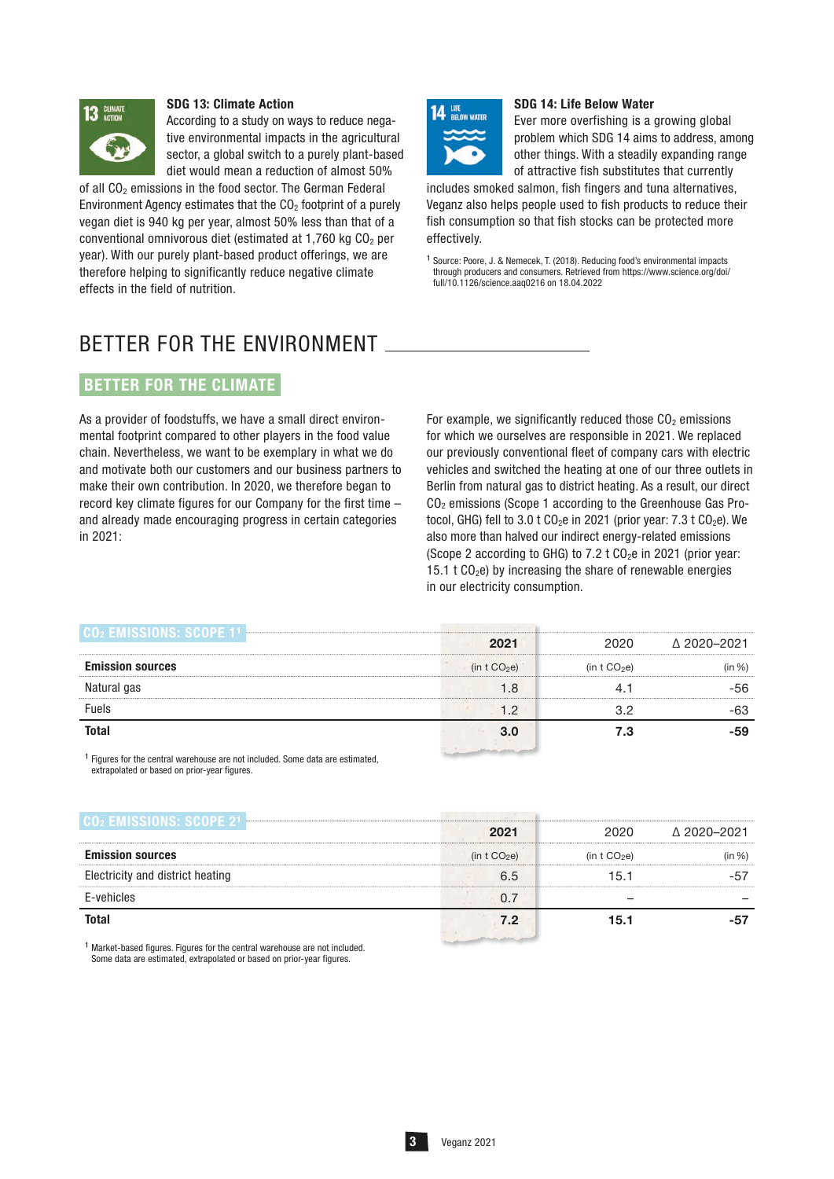

#### SDG 13: Climate Action

According to a study on ways to reduce negative environmental impacts in the agricultural sector, a global switch to a purely plant-based diet would mean a reduction of almost 50%

of all  $CO<sub>2</sub>$  emissions in the food sector. The German Federal Environment Agency estimates that the  $CO<sub>2</sub>$  footprint of a purely vegan diet is 940 kg per year, almost 50% less than that of a conventional omnivorous diet (estimated at  $1,760$  kg  $CO<sub>2</sub>$  per year). With our purely plant-based product offerings, we are therefore helping to significantly reduce negative climate effects in the field of nutrition.



#### SDG 14: Life Below Water

Ever more overfishing is a growing global problem which SDG 14 aims to address, among other things. With a steadily expanding range of attractive fish substitutes that currently

includes smoked salmon, fish fingers and tuna alternatives, Veganz also helps people used to fish products to reduce their fish consumption so that fish stocks can be protected more effectively.

<sup>1</sup> Source: Poore, J. & Nemecek, T. (2018). Reducing food's environmental impacts through producers and consumers. Retrieved from https://www.science.org/doi/ full/10.1126/science.aaq0216 on 18.04.2022

# BETTER FOR THE ENVIRONMENT

### BETTER FOR THE CLIMATE

As a provider of foodstuffs, we have a small direct environmental footprint compared to other players in the food value chain. Nevertheless, we want to be exemplary in what we do and motivate both our customers and our business partners to make their own contribution. In 2020, we therefore began to record key climate figures for our Company for the first time – and already made encouraging progress in certain categories in 2021:

For example, we significantly reduced those  $CO<sub>2</sub>$  emissions for which we ourselves are responsible in 2021. We replaced our previously conventional fleet of company cars with electric vehicles and switched the heating at one of our three outlets in Berlin from natural gas to district heating. As a result, our direct CO2 emissions (Scope 1 according to the Greenhouse Gas Protocol, GHG) fell to  $3.0$  t CO<sub>2</sub>e in 2021 (prior year:  $7.3$  t CO<sub>2</sub>e). We also more than halved our indirect energy-related emissions (Scope 2 according to GHG) to  $7.2$  t CO<sub>2</sub>e in 2021 (prior year: 15.1 t  $CO<sub>2</sub>e$ ) by increasing the share of renewable energies in our electricity consumption.

| CO2 EMISSIONS: SCOPI    |                          |                |             |
|-------------------------|--------------------------|----------------|-------------|
|                         | 2021                     | 2020           | △ 2020-2021 |
| <b>Emission sources</b> | (in t CO <sub>2</sub> e) | (in t $CO2e$ ) | n %)        |
| Natural gas             |                          |                | 56          |
| Fuels                   | - 2                      |                |             |
| <b>Total</b>            |                          |                |             |
|                         |                          |                |             |

 $1$  Figures for the central warehouse are not included. Some data are estimated extrapolated or based on prior-year figures.

| AOZEMISSIONSESCOPEZI             |                          |                |             |
|----------------------------------|--------------------------|----------------|-------------|
|                                  | 2021                     | 2020           | ∆ 2020-2021 |
| <b>Emission sources</b>          | (in t CO <sub>2</sub> e) | (in t $CO2e$ ) | (% ו        |
| Electricity and district heating | 6.5                      | 15.1           |             |
| F-vehicles                       |                          |                |             |
| <b>Total</b>                     | 7.2                      | 15.1           |             |
|                                  |                          |                |             |

 $1$  Market-based figures. Figures for the central warehouse are not included. Some data are estimated, extrapolated or based on prior-year figures.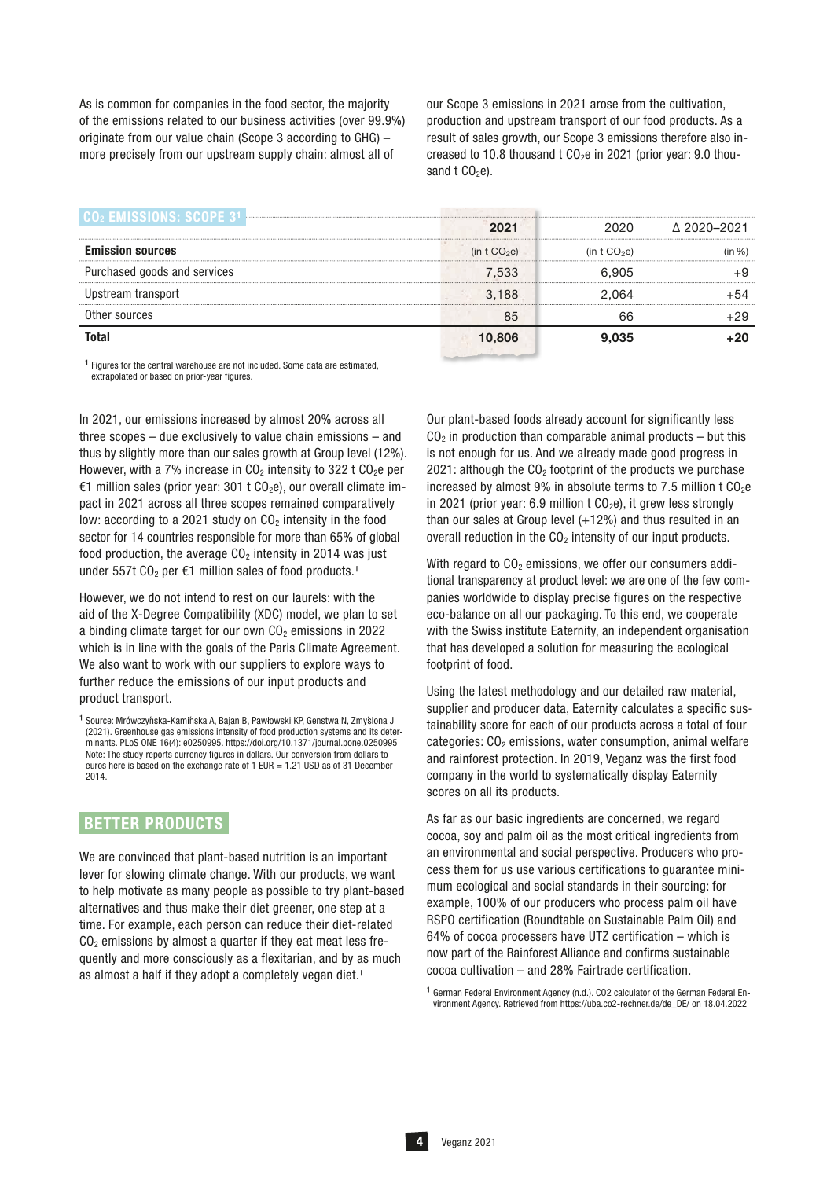As is common for companies in the food sector, the majority of the emissions related to our business activities (over 99.9%) originate from our value chain (Scope 3 according to GHG) – more precisely from our upstream supply chain: almost all of

our Scope 3 emissions in 2021 arose from the cultivation, production and upstream transport of our food products. As a result of sales growth, our Scope 3 emissions therefore also increased to 10.8 thousand  $t CO<sub>2</sub>e$  in 2021 (prior year: 9.0 thousand  $t$  CO<sub>2</sub>e).

| EMISSIONST SMO               |                |                |             |
|------------------------------|----------------|----------------|-------------|
|                              | 2021           | 2020           | △ 2020-2021 |
| <b>Emission sources</b>      | (in t $CO2e$ ) | (in t $CO2e$ ) | $\ln \%$    |
| Purchased goods and services | 7,533          | 6.905          |             |
| Upstream transport           | 3,188          | 2.064          |             |
| Other sources                | 85             |                | -29         |
| <b>Total</b>                 | 10,806         | 9.035          |             |

 $1$  Figures for the central warehouse are not included. Some data are estimated, extrapolated or based on prior-year figures.

In 2021, our emissions increased by almost 20% across all three scopes – due exclusively to value chain emissions – and thus by slightly more than our sales growth at Group level (12%). However, with a 7% increase in  $CO<sub>2</sub>$  intensity to 322 t  $CO<sub>2</sub>e$  per €1 million sales (prior year: 301 t  $CO<sub>2</sub>e$ ), our overall climate impact in 2021 across all three scopes remained comparatively low: according to a 2021 study on  $CO<sub>2</sub>$  intensity in the food sector for 14 countries responsible for more than 65% of global food production, the average  $CO<sub>2</sub>$  intensity in 2014 was just under 557t  $CO<sub>2</sub>$  per €1 million sales of food products.<sup>1</sup>

However, we do not intend to rest on our laurels: with the aid of the X-Degree Compatibility (XDC) model, we plan to set a binding climate target for our own  $CO<sub>2</sub>$  emissions in 2022 which is in line with the goals of the Paris Climate Agreement. We also want to work with our suppliers to explore ways to further reduce the emissions of our input products and product transport.

### BETTER PRODUCTS

We are convinced that plant-based nutrition is an important lever for slowing climate change. With our products, we want to help motivate as many people as possible to try plant-based alternatives and thus make their diet greener, one step at a time. For example, each person can reduce their diet-related  $CO<sub>2</sub>$  emissions by almost a quarter if they eat meat less frequently and more consciously as a flexitarian, and by as much as almost a half if they adopt a completely yegan diet.<sup>1</sup>

Our plant-based foods already account for significantly less  $CO<sub>2</sub>$  in production than comparable animal products – but this is not enough for us. And we already made good progress in 2021: although the  $CO<sub>2</sub>$  footprint of the products we purchase increased by almost 9% in absolute terms to 7.5 million t  $CO<sub>2</sub>e$ in 2021 (prior year: 6.9 million t  $CO<sub>2</sub>e$ ), it grew less strongly than our sales at Group level  $(+12%)$  and thus resulted in an overall reduction in the  $CO<sub>2</sub>$  intensity of our input products.

With regard to  $CO<sub>2</sub>$  emissions, we offer our consumers additional transparency at product level: we are one of the few companies worldwide to display precise figures on the respective eco-balance on all our packaging. To this end, we cooperate with the Swiss institute Eaternity, an independent organisation that has developed a solution for measuring the ecological footprint of food.

Using the latest methodology and our detailed raw material, supplier and producer data, Eaternity calculates a specific sustainability score for each of our products across a total of four categories:  $CO<sub>2</sub>$  emissions, water consumption, animal welfare and rainforest protection. In 2019, Veganz was the first food company in the world to systematically display Eaternity scores on all its products.

As far as our basic ingredients are concerned, we regard cocoa, soy and palm oil as the most critical ingredients from an environmental and social perspective. Producers who process them for us use various certifications to guarantee minimum ecological and social standards in their sourcing: for example, 100% of our producers who process palm oil have RSPO certification (Roundtable on Sustainable Palm Oil) and 64% of cocoa processers have UTZ certification – which is now part of the Rainforest Alliance and confirms sustainable cocoa cultivation – and 28% Fairtrade certification.

<sup>1</sup> German Federal Environment Agency (n.d.). CO2 calculator of the German Federal Environment Agency. Retrieved from https://uba.co2-rechner.de/de\_DE/ on 18.04.2022

 $1$  Source: Mrówczyńska-Kamińska A, Bajan B, Pawłowski KP, Genstwa N, Zmyślona J (2021). Greenhouse gas emissions intensity of food production systems and its determinants. PLoS ONE 16(4): e0250995. https://doi.org/10.1371/journal.pone.0250995 Note: The study reports currency figures in dollars. Our conversion from dollars to euros here is based on the exchange rate of  $1$  EUR =  $1.21$  USD as of 31 December 2014.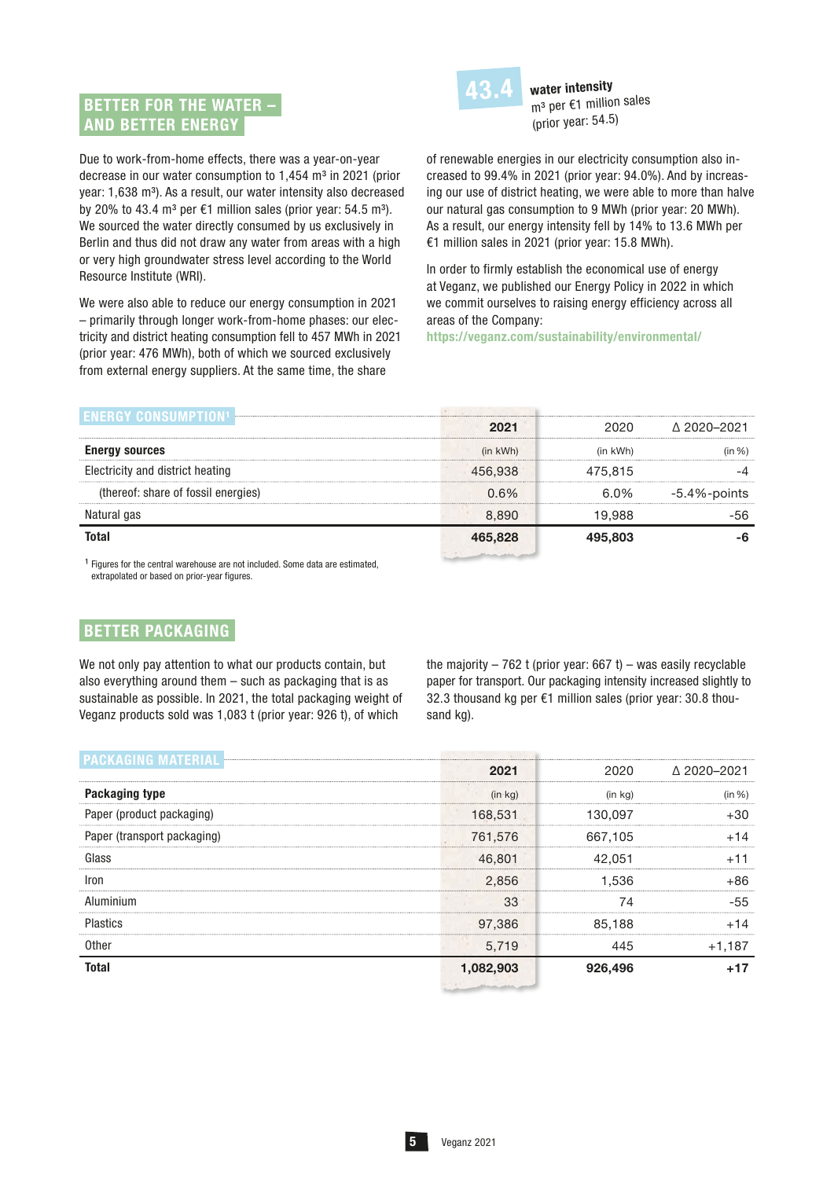## BETTER FOR THE WATER – AND BETTER ENERGY



water intensity m<sup>3</sup> per €1 million sales (prior year: 54.5)

Due to work-from-home effects, there was a year-on-year decrease in our water consumption to 1,454 m<sup>3</sup> in 2021 (prior year: 1,638 m<sup>3</sup>). As a result, our water intensity also decreased by 20% to 43.4 m<sup>3</sup> per  $\epsilon$ 1 million sales (prior year: 54.5 m<sup>3</sup>). We sourced the water directly consumed by us exclusively in Berlin and thus did not draw any water from areas with a high or very high groundwater stress level according to the World Resource Institute (WRI).

We were also able to reduce our energy consumption in 2021 – primarily through longer work-from-home phases: our electricity and district heating consumption fell to 457 MWh in 2021 (prior year: 476 MWh), both of which we sourced exclusively from external energy suppliers. At the same time, the share

of renewable energies in our electricity consumption also increased to 99.4% in 2021 (prior year: 94.0%). And by increasing our use of district heating, we were able to more than halve our natural gas consumption to 9 MWh (prior year: 20 MWh). As a result, our energy intensity fell by 14% to 13.6 MWh per €1 million sales in 2021 (prior year: 15.8 MWh).

In order to firmly establish the economical use of energy at Veganz, we published our Energy Policy in 2022 in which we commit ourselves to raising energy efficiency across all areas of the Company:

https://veganz.com/sustainability/environmental/

|                                     | 2021          | 2020.    | A 2020-2021      |
|-------------------------------------|---------------|----------|------------------|
| <b>Energy sources</b>               | $(in$ kWh $)$ | (in kWh) | (in %)           |
| Electricity and district heating    | 456.938       | 475.815  |                  |
| (thereof: share of fossil energies) | 0.6%          | 6.0%     | $-5.4\%$ -points |
| Natural gas                         | 8.890         | 19.988   |                  |
| <b>Total</b>                        |               | 495.803  |                  |
|                                     |               |          |                  |

 $1$  Figures for the central warehouse are not included. Some data are estimated, extrapolated or based on prior-year figures.

## BETTER PACKAGING

We not only pay attention to what our products contain, but also everything around them – such as packaging that is as sustainable as possible. In 2021, the total packaging weight of Veganz products sold was 1,083 t (prior year: 926 t), of which

the majority  $-762$  t (prior year: 667 t) – was easily recyclable paper for transport. Our packaging intensity increased slightly to 32.3 thousand kg per €1 million sales (prior year: 30.8 thousand kg).

| <b>PACKAGING MATERIAL</b>   | 2021                    | 2020    | A 2020–2021 |  |
|-----------------------------|-------------------------|---------|-------------|--|
| Packaging type              | (in kq)                 | (in ka) | (in %)      |  |
| Paper (product packaging)   | 168,531                 | 130.097 |             |  |
| Paper (transport packaging) | 761,576                 | 667,105 |             |  |
| Glass                       | 46,801                  | 42,051  |             |  |
| Iron                        | 2.856                   | 1.536   | ⊦86         |  |
| Aluminium                   | 33                      | 74      | -55         |  |
| <b>Plastics</b>             | 97.386                  | 85.188  |             |  |
| <b>Other</b>                | 5.719                   | 445     | $+1,187$    |  |
| <b>Total</b>                | 1,082,903               | 926,496 |             |  |
|                             | which you want the date |         |             |  |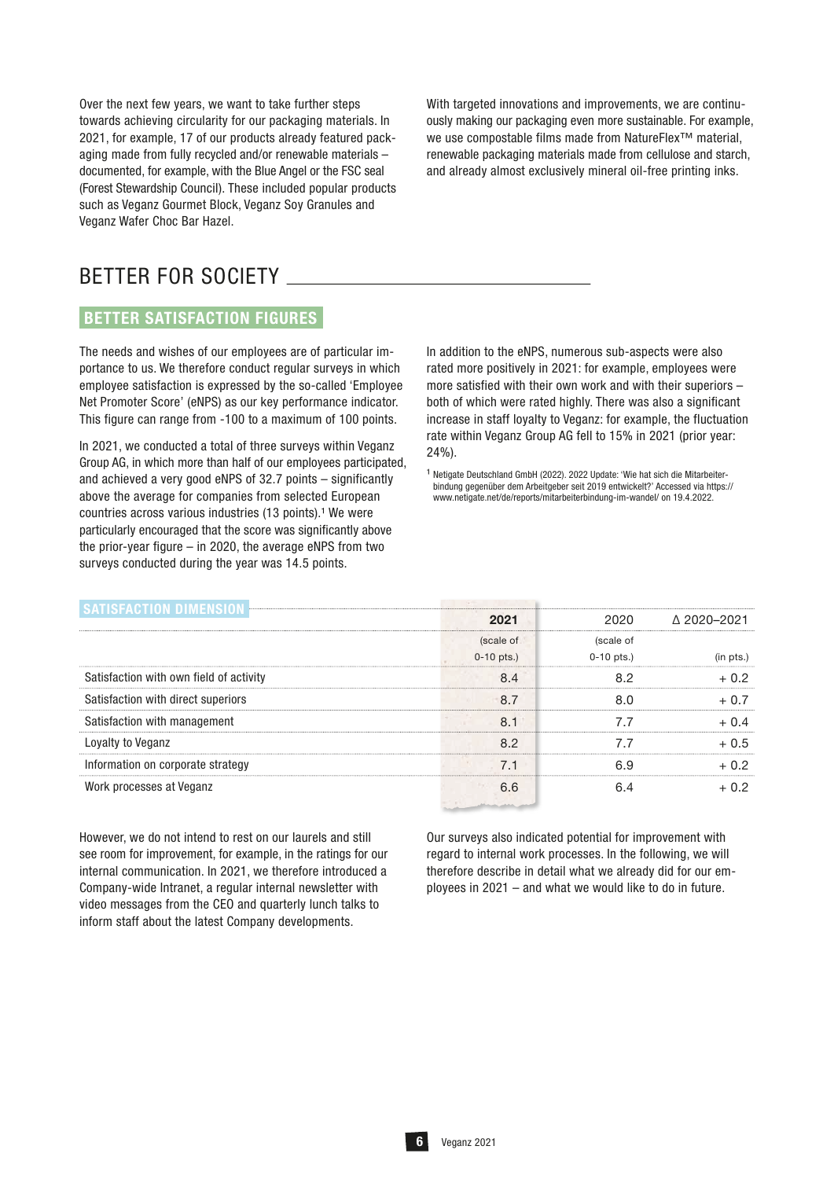Over the next few years, we want to take further steps towards achieving circularity for our packaging materials. In 2021, for example, 17 of our products already featured packaging made from fully recycled and/or renewable materials – documented, for example, with the Blue Angel or the FSC seal (Forest Stewardship Council). These included popular products such as Veganz Gourmet Block, Veganz Soy Granules and Veganz Wafer Choc Bar Hazel.

With targeted innovations and improvements, we are continuously making our packaging even more sustainable. For example, we use compostable films made from NatureFlex™ material, renewable packaging materials made from cellulose and starch, and already almost exclusively mineral oil-free printing inks.

# BETTER FOR SOCIETY

## BETTER SATISFACTION FIGURES

The needs and wishes of our employees are of particular importance to us. We therefore conduct regular surveys in which employee satisfaction is expressed by the so-called 'Employee Net Promoter Score' (eNPS) as our key performance indicator. This figure can range from -100 to a maximum of 100 points.

In 2021, we conducted a total of three surveys within Veganz Group AG, in which more than half of our employees participated, and achieved a very good eNPS of 32.7 points – significantly above the average for companies from selected European countries across various industries (13 points).<sup>1</sup> We were particularly encouraged that the score was significantly above the prior-year figure – in 2020, the average eNPS from two surveys conducted during the year was 14.5 points.

In addition to the eNPS, numerous sub-aspects were also rated more positively in 2021: for example, employees were more satisfied with their own work and with their superiors – both of which were rated highly. There was also a significant increase in staff loyalty to Veganz: for example, the fluctuation rate within Veganz Group AG fell to 15% in 2021 (prior year: 24%).

<sup>1</sup> Netigate Deutschland GmbH (2022). 2022 Update: 'Wie hat sich die Mitarbeiterbindung gegenüber dem Arbeitgeber seit 2019 entwickelt?' Accessed via https:// www.netigate.net/de/reports/mitarbeiterbindung-im-wandel/ on 19.4.2022.

|                                         | 2021         | 2020-          | A 2020–2021 |
|-----------------------------------------|--------------|----------------|-------------|
|                                         | (scale of    | (scale of      |             |
|                                         | $0-10$ pts.) | $0 - 10$ pts.) |             |
| Satisfaction with own field of activity |              |                | + 0.2       |
| Satisfaction with direct superiors      | 87           |                |             |
| Satisfaction with management            |              |                | + N 4       |
| Loyalty to Veganz                       | 82           |                | $+0.5$      |
| Information on corporate strategy       |              |                | ⊥∩ ລ        |
| Work processes at Veganz                | 6 R          |                | በጋ          |
|                                         |              |                |             |

However, we do not intend to rest on our laurels and still see room for improvement, for example, in the ratings for our internal communication. In 2021, we therefore introduced a Company-wide Intranet, a regular internal newsletter with video messages from the CEO and quarterly lunch talks to inform staff about the latest Company developments.

Our surveys also indicated potential for improvement with regard to internal work processes. In the following, we will therefore describe in detail what we already did for our employees in 2021 – and what we would like to do in future.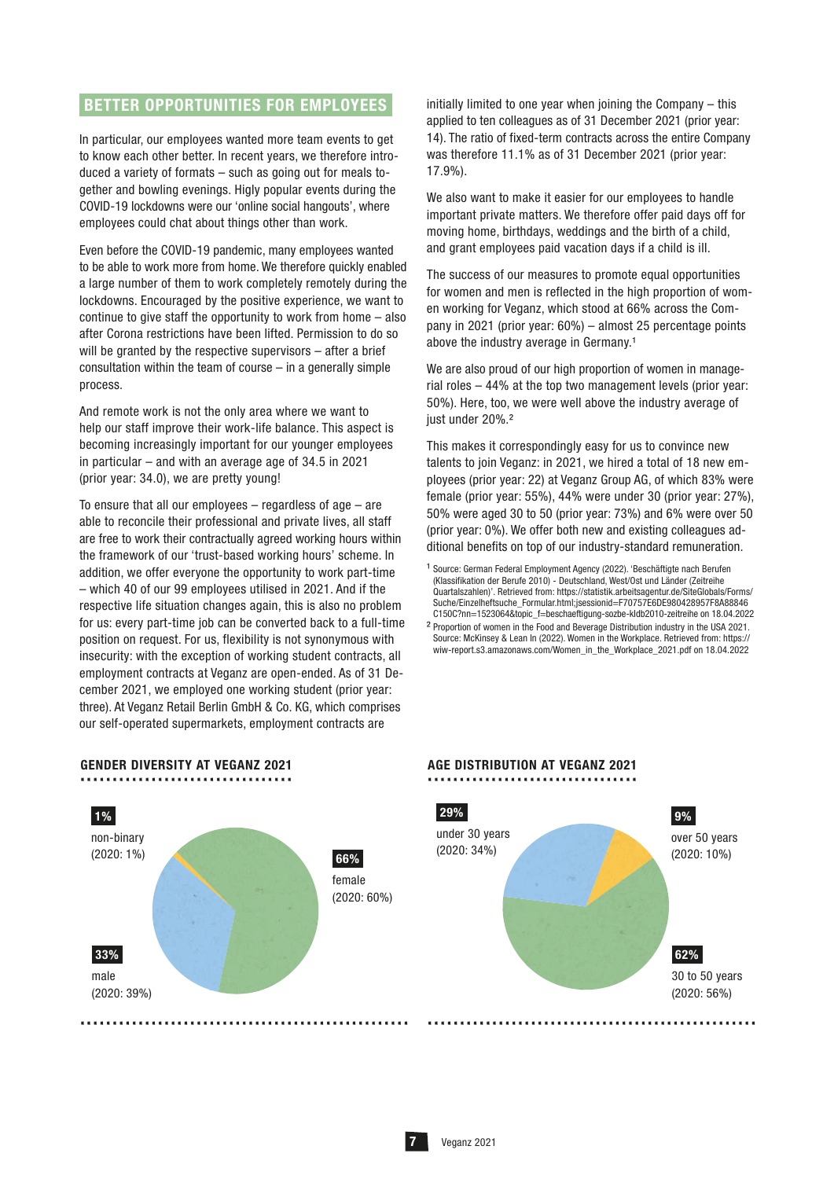### BETTER OPPORTUNITIES FOR EMPLOYEES

In particular, our employees wanted more team events to get to know each other better. In recent years, we therefore introduced a variety of formats – such as going out for meals together and bowling evenings. Higly popular events during the COVID-19 lockdowns were our 'online social hangouts', where employees could chat about things other than work.

Even before the COVID-19 pandemic, many employees wanted to be able to work more from home. We therefore quickly enabled a large number of them to work completely remotely during the lockdowns. Encouraged by the positive experience, we want to continue to give staff the opportunity to work from home – also after Corona restrictions have been lifted. Permission to do so will be granted by the respective supervisors – after a brief consultation within the team of course – in a generally simple process.

And remote work is not the only area where we want to help our staff improve their work-life balance. This aspect is becoming increasingly important for our younger employees in particular – and with an average age of 34.5 in 2021 (prior year: 34.0), we are pretty young!

To ensure that all our employees – regardless of age – are able to reconcile their professional and private lives, all staff are free to work their contractually agreed working hours within the framework of our 'trust-based working hours' scheme. In addition, we offer everyone the opportunity to work part-time – which 40 of our 99 employees utilised in 2021. And if the respective life situation changes again, this is also no problem for us: every part-time job can be converted back to a full-time position on request. For us, flexibility is not synonymous with insecurity: with the exception of working student contracts, all employment contracts at Veganz are open-ended. As of 31 December 2021, we employed one working student (prior year: three). At Veganz Retail Berlin GmbH & Co. KG, which comprises our self-operated supermarkets, employment contracts are

GENDER DIVERSITY AT VEGANZ 2021 .................................

 66% female (2020: 60%) 1% 33% non-binary (2020: 1%) male (2020: 39%) ................................................... initially limited to one year when joining the Company – this applied to ten colleagues as of 31 December 2021 (prior year: 14). The ratio of fixed-term contracts across the entire Company was therefore 11.1% as of 31 December 2021 (prior year: 17.9%).

We also want to make it easier for our employees to handle important private matters. We therefore offer paid days off for moving home, birthdays, weddings and the birth of a child, and grant employees paid vacation days if a child is ill.

The success of our measures to promote equal opportunities for women and men is reflected in the high proportion of women working for Veganz, which stood at 66% across the Company in 2021 (prior year: 60%) – almost 25 percentage points above the industry average in Germany.<sup>1</sup>

We are also proud of our high proportion of women in managerial roles – 44% at the top two management levels (prior year: 50%). Here, too, we were well above the industry average of just under 20%.<sup>2</sup>

This makes it correspondingly easy for us to convince new talents to join Veganz: in 2021, we hired a total of 18 new employees (prior year: 22) at Veganz Group AG, of which 83% were female (prior year: 55%), 44% were under 30 (prior year: 27%), 50% were aged 30 to 50 (prior year: 73%) and 6% were over 50 (prior year: 0%). We offer both new and existing colleagues additional benefits on top of our industry-standard remuneration.

# AGE DISTRIBUTION AT VEGANZ 2021 .................................



<sup>&</sup>lt;sup>1</sup> Source: German Federal Employment Agency (2022). 'Beschäftigte nach Berufen (Klassifikation der Berufe 2010) - Deutschland, West/Ost und Länder (Zeitreihe Quartalszahlen)'. Retrieved from: https://statistik.arbeitsagentur.de/SiteGlobals/Forms/ Suche/Einzelheftsuche\_Formular.html;jsessionid=F70757E6DE980428957F8A88846 C150C?nn=1523064&topic\_f=beschaeftigung-sozbe-kldb2010-zeitreihe on 18.04.2022

² Proportion of women in the Food and Beverage Distribution industry in the USA 2021. Source: McKinsey & Lean In (2022). Women in the Workplace. Retrieved from: https:// wiw-report.s3.amazonaws.com/Women\_in\_the\_Workplace\_2021.pdf on 18.04.2022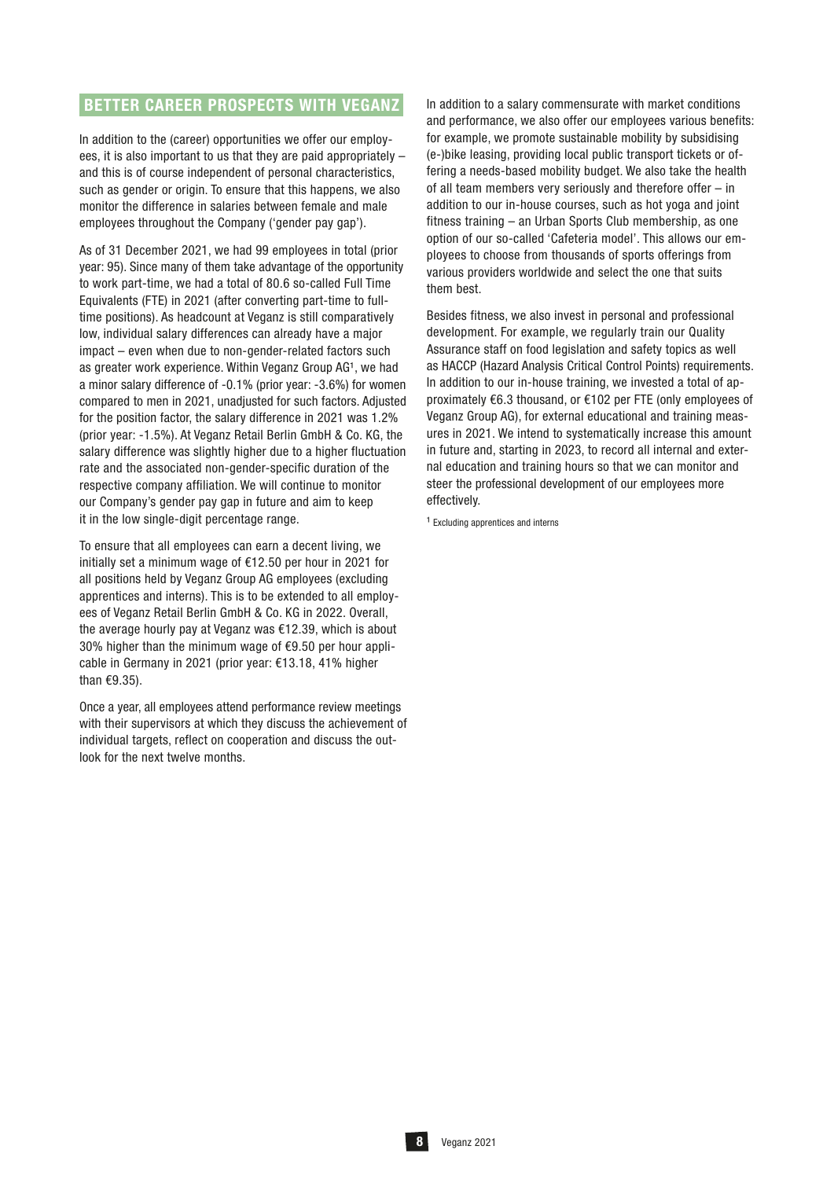## BETTER CAREER PROSPECTS WITH VEGANZ

In addition to the (career) opportunities we offer our employees, it is also important to us that they are paid appropriately – and this is of course independent of personal characteristics, such as gender or origin. To ensure that this happens, we also monitor the difference in salaries between female and male employees throughout the Company ('gender pay gap').

As of 31 December 2021, we had 99 employees in total (prior year: 95). Since many of them take advantage of the opportunity to work part-time, we had a total of 80.6 so-called Full Time Equivalents (FTE) in 2021 (after converting part-time to fulltime positions). As headcount at Veganz is still comparatively low, individual salary differences can already have a major impact – even when due to non-gender-related factors such as greater work experience. Within Veganz Group AG1, we had a minor salary difference of -0.1% (prior year: -3.6%) for women compared to men in 2021, unadjusted for such factors. Adjusted for the position factor, the salary difference in 2021 was 1.2% (prior year: -1.5%). At Veganz Retail Berlin GmbH & Co. KG, the salary difference was slightly higher due to a higher fluctuation rate and the associated non-gender-specific duration of the respective company affiliation. We will continue to monitor our Company's gender pay gap in future and aim to keep it in the low single-digit percentage range.

To ensure that all employees can earn a decent living, we initially set a minimum wage of €12.50 per hour in 2021 for all positions held by Veganz Group AG employees (excluding apprentices and interns). This is to be extended to all employees of Veganz Retail Berlin GmbH & Co. KG in 2022. Overall, the average hourly pay at Veganz was €12.39, which is about 30% higher than the minimum wage of €9.50 per hour applicable in Germany in 2021 (prior year: €13.18, 41% higher than €9.35).

Once a year, all employees attend performance review meetings with their supervisors at which they discuss the achievement of individual targets, reflect on cooperation and discuss the outlook for the next twelve months.

In addition to a salary commensurate with market conditions and performance, we also offer our employees various benefits: for example, we promote sustainable mobility by subsidising (e-)bike leasing, providing local public transport tickets or offering a needs-based mobility budget. We also take the health of all team members very seriously and therefore offer – in addition to our in-house courses, such as hot yoga and joint fitness training – an Urban Sports Club membership, as one option of our so-called 'Cafeteria model'. This allows our employees to choose from thousands of sports offerings from various providers worldwide and select the one that suits them best.

Besides fitness, we also invest in personal and professional development. For example, we regularly train our Quality Assurance staff on food legislation and safety topics as well as HACCP (Hazard Analysis Critical Control Points) requirements. In addition to our in-house training, we invested a total of approximately €6.3 thousand, or €102 per FTE (only employees of Veganz Group AG), for external educational and training measures in 2021. We intend to systematically increase this amount in future and, starting in 2023, to record all internal and external education and training hours so that we can monitor and steer the professional development of our employees more effectively.

<sup>1</sup> Excluding apprentices and interns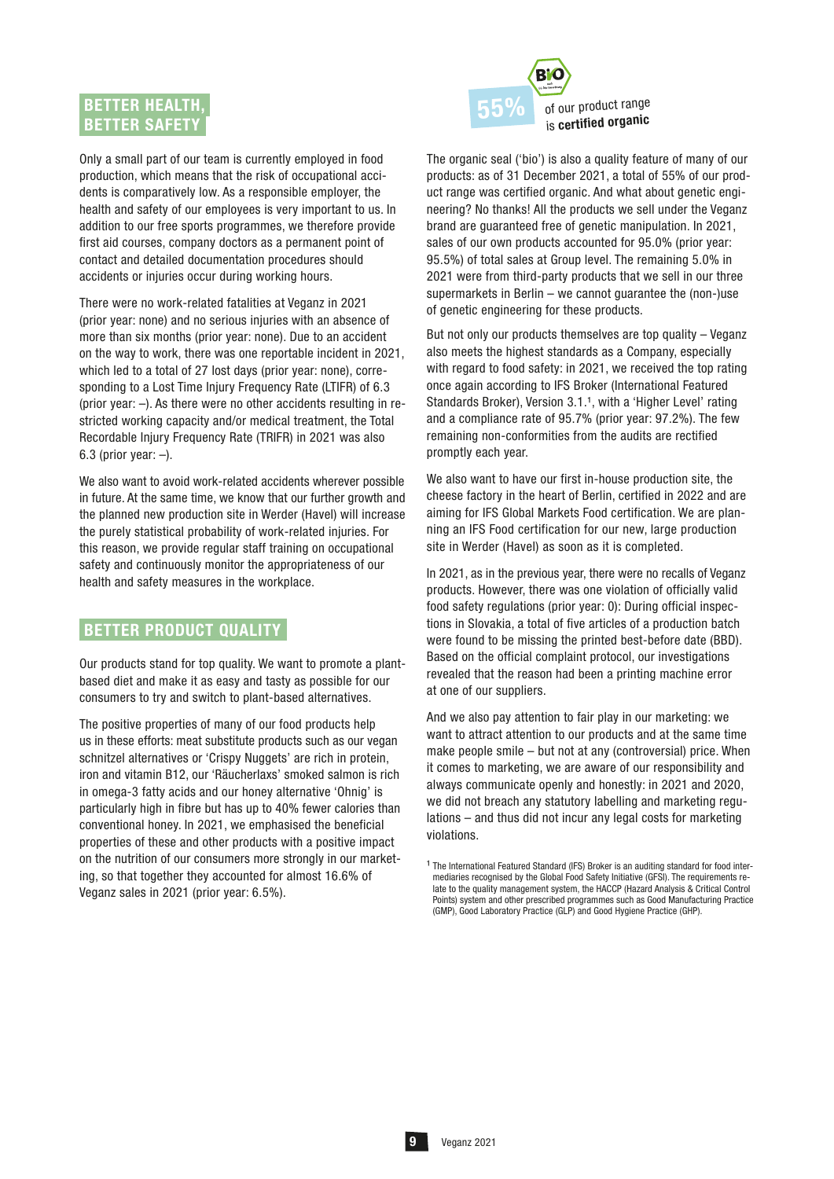## BETTER HEALTH, **BETTER SAFETY**

Only a small part of our team is currently employed in food production, which means that the risk of occupational accidents is comparatively low. As a responsible employer, the health and safety of our employees is very important to us. In addition to our free sports programmes, we therefore provide first aid courses, company doctors as a permanent point of contact and detailed documentation procedures should accidents or injuries occur during working hours.

There were no work-related fatalities at Veganz in 2021 (prior year: none) and no serious injuries with an absence of more than six months (prior year: none). Due to an accident on the way to work, there was one reportable incident in 2021, which led to a total of 27 lost days (prior year: none), corresponding to a Lost Time Injury Frequency Rate (LTIFR) of 6.3 (prior year: –). As there were no other accidents resulting in restricted working capacity and/or medical treatment, the Total Recordable Injury Frequency Rate (TRIFR) in 2021 was also 6.3 (prior year:  $-$ ).

We also want to avoid work-related accidents wherever possible in future. At the same time, we know that our further growth and the planned new production site in Werder (Havel) will increase the purely statistical probability of work-related injuries. For this reason, we provide regular staff training on occupational safety and continuously monitor the appropriateness of our health and safety measures in the workplace.

### BETTER PRODUCT QUALITY

Our products stand for top quality. We want to promote a plantbased diet and make it as easy and tasty as possible for our consumers to try and switch to plant-based alternatives.

The positive properties of many of our food products help us in these efforts: meat substitute products such as our vegan schnitzel alternatives or 'Crispy Nuggets' are rich in protein, iron and vitamin B12, our 'Räucherlaxs' smoked salmon is rich in omega-3 fatty acids and our honey alternative 'Ohnig' is particularly high in fibre but has up to 40% fewer calories than conventional honey. In 2021, we emphasised the beneficial properties of these and other products with a positive impact on the nutrition of our consumers more strongly in our marketing, so that together they accounted for almost 16.6% of Veganz sales in 2021 (prior year: 6.5%).



The organic seal ('bio') is also a quality feature of many of our products: as of 31 December 2021, a total of 55% of our product range was certified organic. And what about genetic engineering? No thanks! All the products we sell under the Veganz brand are guaranteed free of genetic manipulation. In 2021, sales of our own products accounted for 95.0% (prior year: 95.5%) of total sales at Group level. The remaining 5.0% in 2021 were from third-party products that we sell in our three supermarkets in Berlin – we cannot guarantee the (non-)use of genetic engineering for these products.

But not only our products themselves are top quality – Veganz also meets the highest standards as a Company, especially with regard to food safety: in 2021, we received the top rating once again according to IFS Broker (International Featured Standards Broker), Version 3.1.<sup>1</sup>, with a 'Higher Level' rating and a compliance rate of 95.7% (prior year: 97.2%). The few remaining non-conformities from the audits are rectified promptly each year.

We also want to have our first in-house production site, the cheese factory in the heart of Berlin, certified in 2022 and are aiming for IFS Global Markets Food certification. We are planning an IFS Food certification for our new, large production site in Werder (Havel) as soon as it is completed.

In 2021, as in the previous year, there were no recalls of Veganz products. However, there was one violation of officially valid food safety regulations (prior year: 0): During official inspections in Slovakia, a total of five articles of a production batch were found to be missing the printed best-before date (BBD). Based on the official complaint protocol, our investigations revealed that the reason had been a printing machine error at one of our suppliers.

And we also pay attention to fair play in our marketing: we want to attract attention to our products and at the same time make people smile – but not at any (controversial) price. When it comes to marketing, we are aware of our responsibility and always communicate openly and honestly: in 2021 and 2020, we did not breach any statutory labelling and marketing regulations – and thus did not incur any legal costs for marketing violations.

<sup>&</sup>lt;sup>1</sup> The International Featured Standard (IFS) Broker is an auditing standard for food intermediaries recognised by the Global Food Safety Initiative (GFSI). The requirements relate to the quality management system, the HACCP (Hazard Analysis & Critical Control Points) system and other prescribed programmes such as Good Manufacturing Practice (GMP), Good Laboratory Practice (GLP) and Good Hygiene Practice (GHP).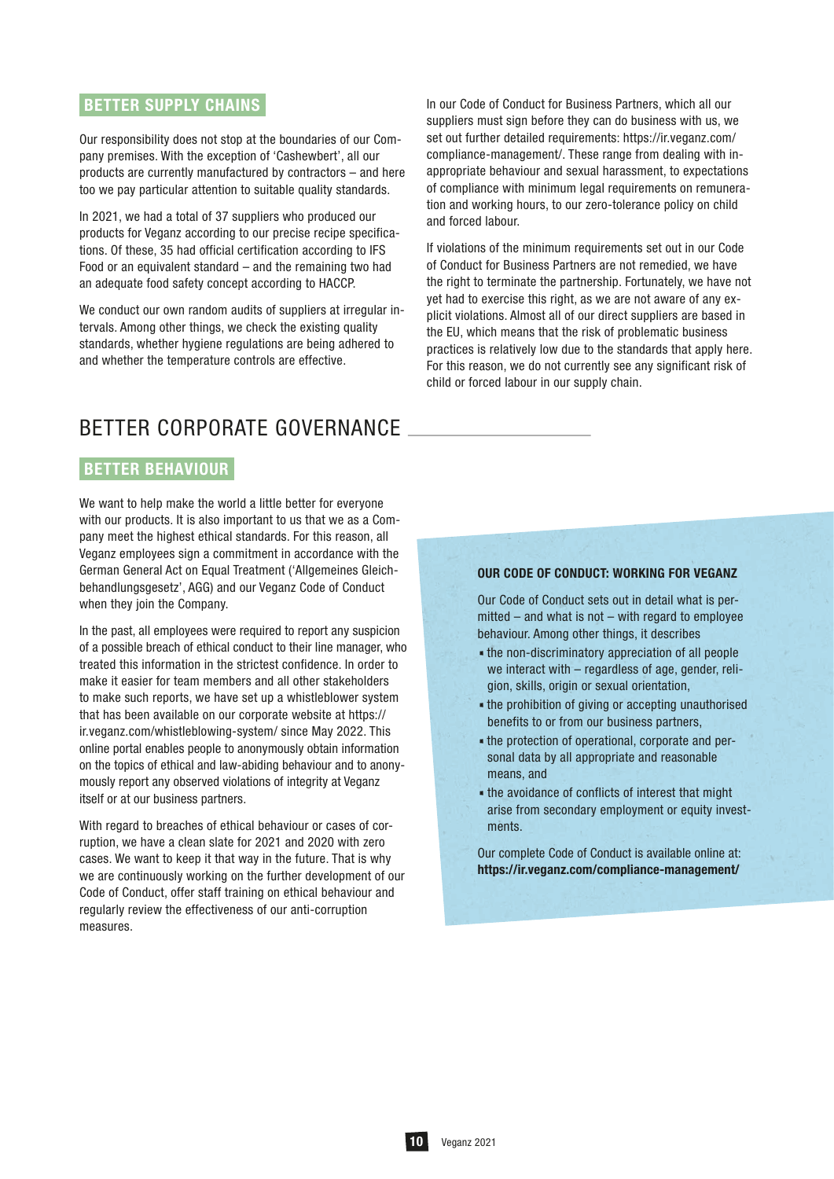## BETTER SUPPLY CHAINS

Our responsibility does not stop at the boundaries of our Company premises. With the exception of 'Cashewbert', all our products are currently manufactured by contractors – and here too we pay particular attention to suitable quality standards.

In 2021, we had a total of 37 suppliers who produced our products for Veganz according to our precise recipe specifications. Of these, 35 had official certification according to IFS Food or an equivalent standard – and the remaining two had an adequate food safety concept according to HACCP.

We conduct our own random audits of suppliers at irregular intervals. Among other things, we check the existing quality standards, whether hygiene regulations are being adhered to and whether the temperature controls are effective.

In our Code of Conduct for Business Partners, which all our suppliers must sign before they can do business with us, we set out further detailed requirements: https://ir.veganz.com/ compliance-management/. These range from dealing with inappropriate behaviour and sexual harassment, to expectations of compliance with minimum legal requirements on remuneration and working hours, to our zero-tolerance policy on child and forced labour.

If violations of the minimum requirements set out in our Code of Conduct for Business Partners are not remedied, we have the right to terminate the partnership. Fortunately, we have not yet had to exercise this right, as we are not aware of any explicit violations. Almost all of our direct suppliers are based in the EU, which means that the risk of problematic business practices is relatively low due to the standards that apply here. For this reason, we do not currently see any significant risk of child or forced labour in our supply chain.

# BETTER CORPORATE GOVERNANCE

## BETTER BEHAVIOUR

We want to help make the world a little better for everyone with our products. It is also important to us that we as a Company meet the highest ethical standards. For this reason, all Veganz employees sign a commitment in accordance with the German General Act on Equal Treatment ('Allgemeines Gleichbehandlungsgesetz', AGG) and our Veganz Code of Conduct when they join the Company.

In the past, all employees were required to report any suspicion of a possible breach of ethical conduct to their line manager, who treated this information in the strictest confidence. In order to make it easier for team members and all other stakeholders to make such reports, we have set up a whistleblower system that has been available on our corporate website at https:// ir.veganz.com/whistleblowing-system/ since May 2022. This online portal enables people to anonymously obtain information on the topics of ethical and law-abiding behaviour and to anonymously report any observed violations of integrity at Veganz itself or at our business partners.

With regard to breaches of ethical behaviour or cases of corruption, we have a clean slate for 2021 and 2020 with zero cases. We want to keep it that way in the future. That is why we are continuously working on the further development of our Code of Conduct, offer staff training on ethical behaviour and regularly review the effectiveness of our anti-corruption measures.

#### OUR CODE OF CONDUCT: WORKING FOR VEGANZ

Our Code of Conduct sets out in detail what is permitted – and what is not – with regard to employee behaviour. Among other things, it describes

- .the non-discriminatory appreciation of all people we interact with – regardless of age, gender, religion, skills, origin or sexual orientation,
- .the prohibition of giving or accepting unauthorised benefits to or from our business partners,
- .the protection of operational, corporate and personal data by all appropriate and reasonable means, and
- .the avoidance of conflicts of interest that might arise from secondary employment or equity investments.

Our complete Code of Conduct is available online at: https://ir.veganz.com/compliance-management/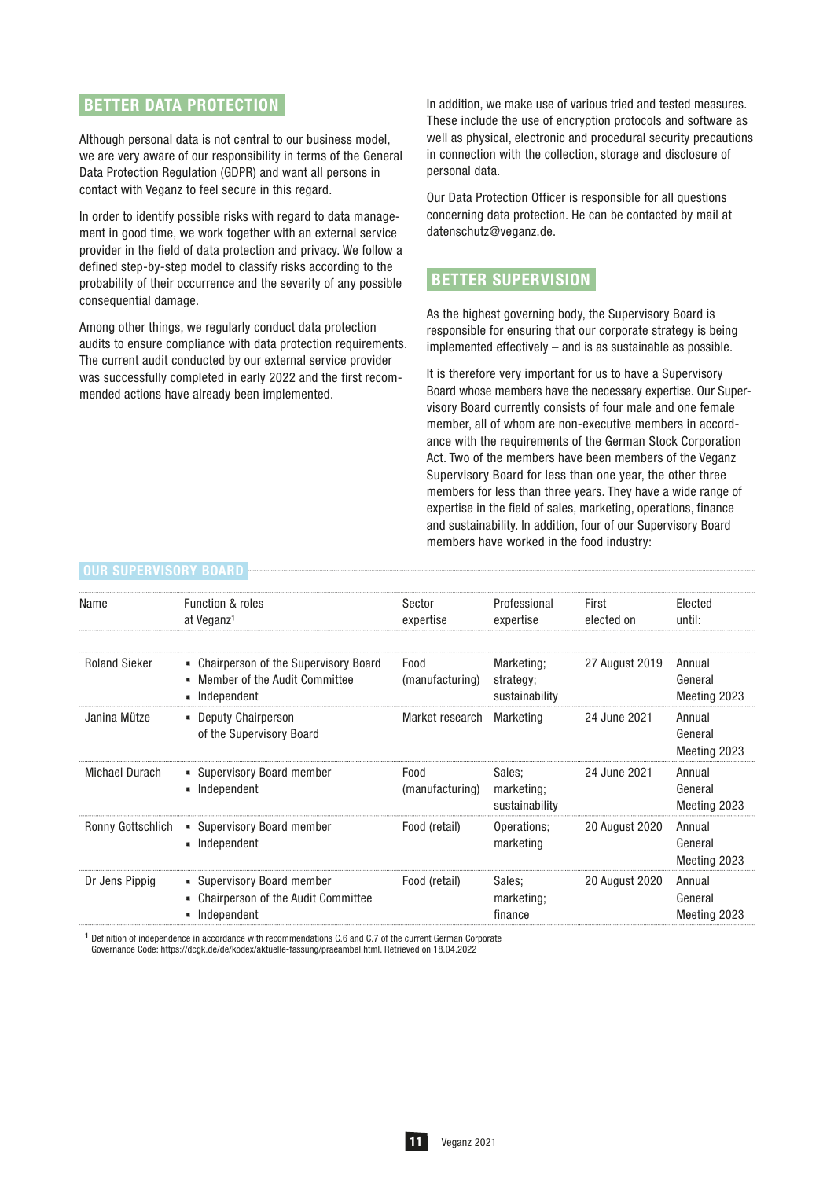### BETTER DATA PROTECTION

Although personal data is not central to our business model, we are very aware of our responsibility in terms of the General Data Protection Regulation (GDPR) and want all persons in contact with Veganz to feel secure in this regard.

In order to identify possible risks with regard to data management in good time, we work together with an external service provider in the field of data protection and privacy. We follow a defined step-by-step model to classify risks according to the probability of their occurrence and the severity of any possible consequential damage.

Among other things, we regularly conduct data protection audits to ensure compliance with data protection requirements. The current audit conducted by our external service provider was successfully completed in early 2022 and the first recommended actions have already been implemented.

In addition, we make use of various tried and tested measures. These include the use of encryption protocols and software as well as physical, electronic and procedural security precautions in connection with the collection, storage and disclosure of personal data.

Our Data Protection Officer is responsible for all questions concerning data protection. He can be contacted by mail at datenschutz@veganz.de.

## BETTER SUPERVISION

As the highest governing body, the Supervisory Board is responsible for ensuring that our corporate strategy is being implemented effectively – and is as sustainable as possible.

It is therefore very important for us to have a Supervisory Board whose members have the necessary expertise. Our Supervisory Board currently consists of four male and one female member, all of whom are non-executive members in accordance with the requirements of the German Stock Corporation Act. Two of the members have been members of the Veganz Supervisory Board for less than one year, the other three members for less than three years. They have a wide range of expertise in the field of sales, marketing, operations, finance and sustainability. In addition, four of our Supervisory Board members have worked in the food industry:

| Name                 | <b>Function &amp; roles</b><br>at Veganz <sup>1</sup>                                      | Sector<br>expertise     | Professional<br>expertise                 | First<br>elected on | Elected<br>until:                 |
|----------------------|--------------------------------------------------------------------------------------------|-------------------------|-------------------------------------------|---------------------|-----------------------------------|
| <b>Roland Sieker</b> | • Chairperson of the Supervisory Board<br>■ Member of the Audit Committee<br>• Independent | Food<br>(manufacturing) | Marketing;<br>strategy;<br>sustainability | 27 August 2019      | Annual<br>General<br>Meeting 2023 |
| Janina Mütze         | <b>• Deputy Chairperson</b><br>of the Supervisory Board                                    | Market research         | Marketing                                 | 24 June 2021        | Annual<br>General<br>Meeting 2023 |
| Michael Durach       | • Supervisory Board member<br>u Independent                                                | Food<br>(manufacturing) | Sales;<br>marketing;<br>sustainability    | 24 June 2021        | Annual<br>General<br>Meeting 2023 |
| Ronny Gottschlich    | • Supervisory Board member<br>u Independent                                                | Food (retail)           | Operations;<br>marketing                  | 20 August 2020      | Annual<br>General<br>Meeting 2023 |
| Dr Jens Pippig       | • Supervisory Board member<br>• Chairperson of the Audit Committee<br>« Independent        | Food (retail)           | Sales;<br>marketing;<br>finance           | 20 August 2020      | Annual<br>General<br>Meeting 2023 |

#### OUR SUPERVISORY BOARD

<sup>1</sup> Definition of independence in accordance with recommendations C.6 and C.7 of the current German Corporate Governance Code: https://dcgk.de/de/kodex/aktuelle-fassung/praeambel.html. Retrieved on 18.04.2022